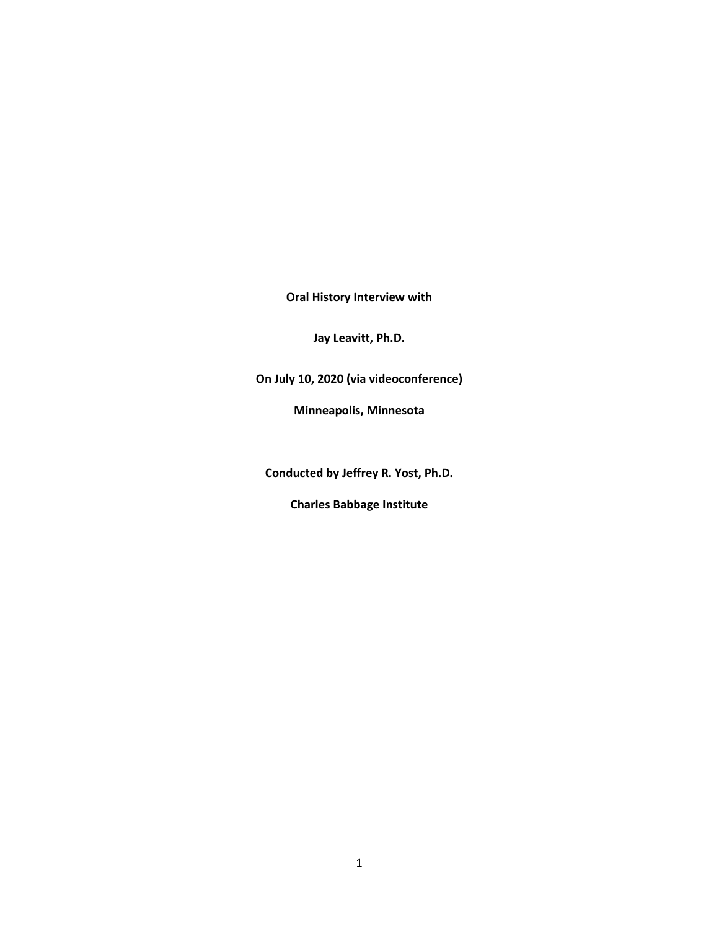**Oral History Interview with**

**Jay Leavitt, Ph.D.**

**On July 10, 2020 (via videoconference)**

**Minneapolis, Minnesota**

**Conducted by Jeffrey R. Yost, Ph.D.**

**Charles Babbage Institute**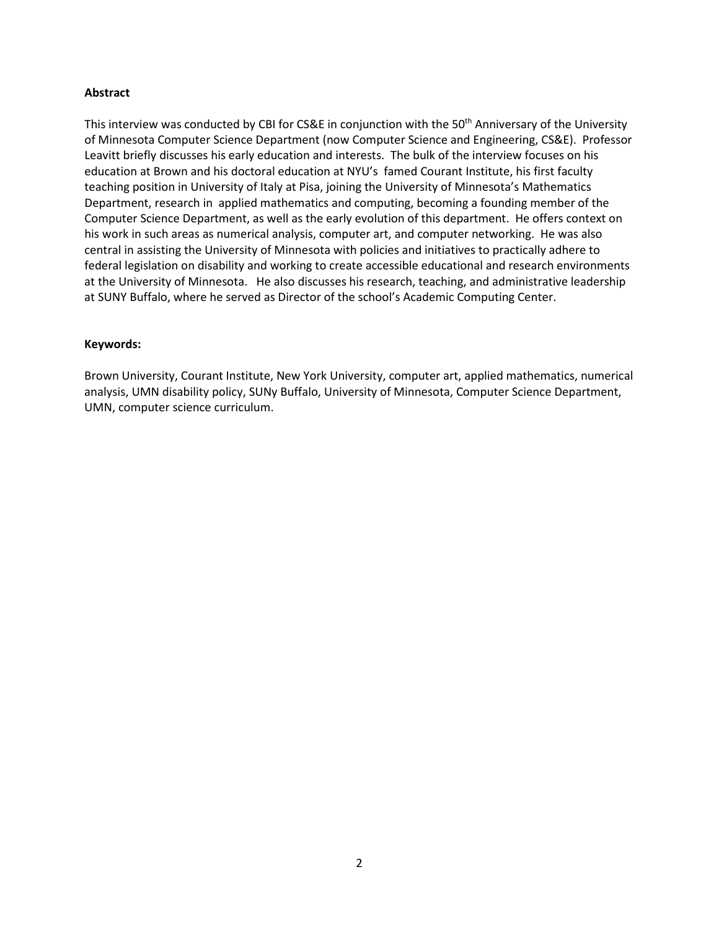## **Abstract**

This interview was conducted by CBI for CS&E in conjunction with the 50<sup>th</sup> Anniversary of the University of Minnesota Computer Science Department (now Computer Science and Engineering, CS&E). Professor Leavitt briefly discusses his early education and interests. The bulk of the interview focuses on his education at Brown and his doctoral education at NYU's famed Courant Institute, his first faculty teaching position in University of Italy at Pisa, joining the University of Minnesota's Mathematics Department, research in applied mathematics and computing, becoming a founding member of the Computer Science Department, as well as the early evolution of this department. He offers context on his work in such areas as numerical analysis, computer art, and computer networking. He was also central in assisting the University of Minnesota with policies and initiatives to practically adhere to federal legislation on disability and working to create accessible educational and research environments at the University of Minnesota. He also discusses his research, teaching, and administrative leadership at SUNY Buffalo, where he served as Director of the school's Academic Computing Center.

## **Keywords:**

Brown University, Courant Institute, New York University, computer art, applied mathematics, numerical analysis, UMN disability policy, SUNy Buffalo, University of Minnesota, Computer Science Department, UMN, computer science curriculum.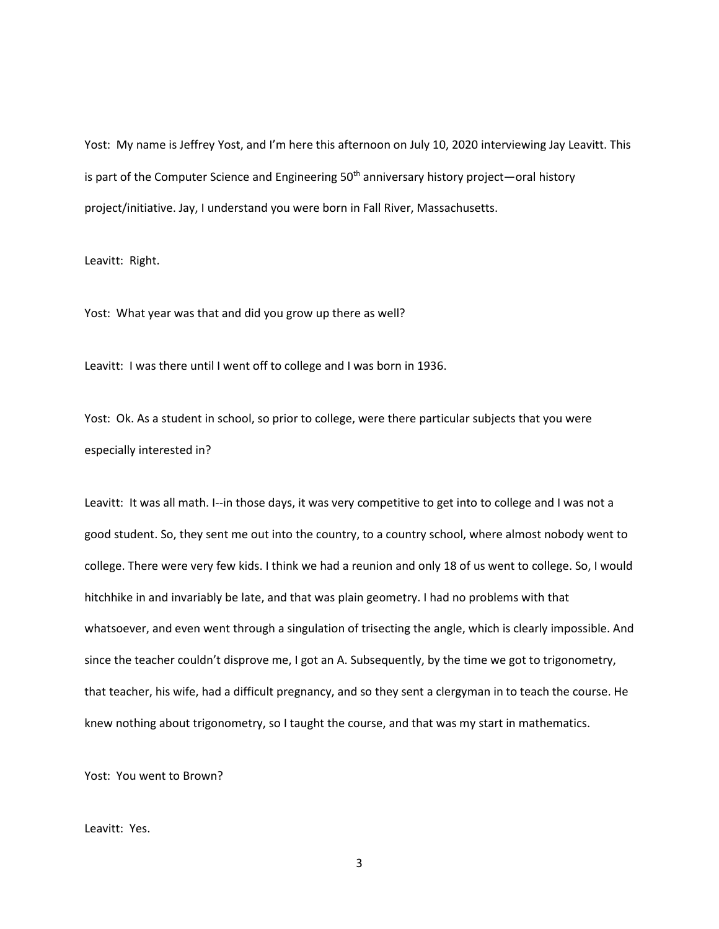Yost: My name is Jeffrey Yost, and I'm here this afternoon on July 10, 2020 interviewing Jay Leavitt. This is part of the Computer Science and Engineering  $50<sup>th</sup>$  anniversary history project—oral history project/initiative. Jay, I understand you were born in Fall River, Massachusetts.

Leavitt: Right.

Yost: What year was that and did you grow up there as well?

Leavitt: I was there until I went off to college and I was born in 1936.

Yost: Ok. As a student in school, so prior to college, were there particular subjects that you were especially interested in?

Leavitt: It was all math. I--in those days, it was very competitive to get into to college and I was not a good student. So, they sent me out into the country, to a country school, where almost nobody went to college. There were very few kids. I think we had a reunion and only 18 of us went to college. So, I would hitchhike in and invariably be late, and that was plain geometry. I had no problems with that whatsoever, and even went through a singulation of trisecting the angle, which is clearly impossible. And since the teacher couldn't disprove me, I got an A. Subsequently, by the time we got to trigonometry, that teacher, his wife, had a difficult pregnancy, and so they sent a clergyman in to teach the course. He knew nothing about trigonometry, so I taught the course, and that was my start in mathematics.

Yost: You went to Brown?

## Leavitt: Yes.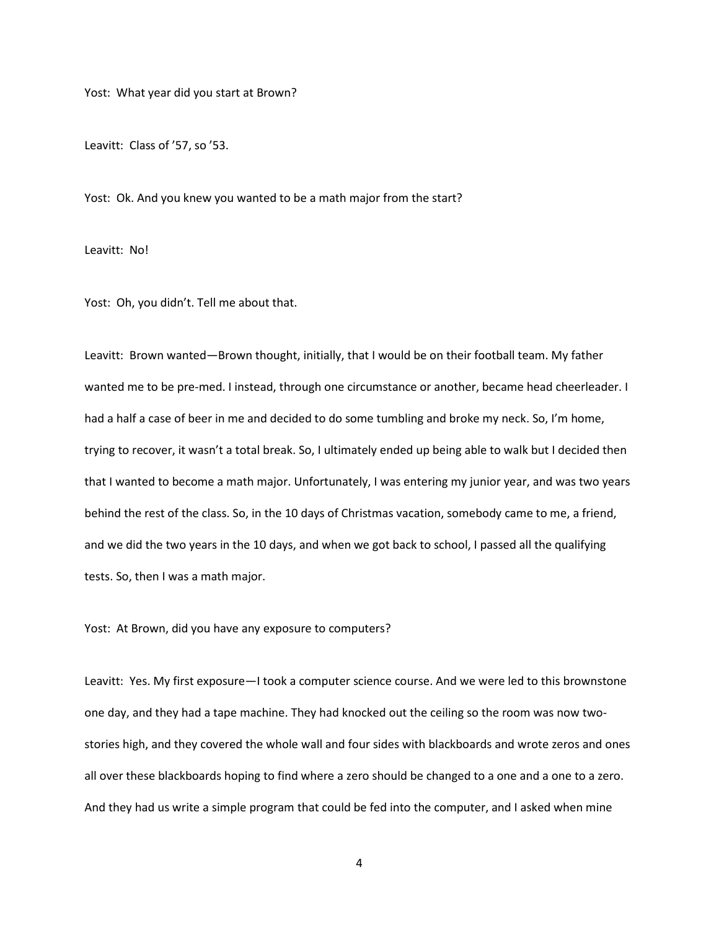Yost: What year did you start at Brown?

Leavitt: Class of '57, so '53.

Yost: Ok. And you knew you wanted to be a math major from the start?

Leavitt: No!

Yost: Oh, you didn't. Tell me about that.

Leavitt: Brown wanted—Brown thought, initially, that I would be on their football team. My father wanted me to be pre-med. I instead, through one circumstance or another, became head cheerleader. I had a half a case of beer in me and decided to do some tumbling and broke my neck. So, I'm home, trying to recover, it wasn't a total break. So, I ultimately ended up being able to walk but I decided then that I wanted to become a math major. Unfortunately, I was entering my junior year, and was two years behind the rest of the class. So, in the 10 days of Christmas vacation, somebody came to me, a friend, and we did the two years in the 10 days, and when we got back to school, I passed all the qualifying tests. So, then I was a math major.

Yost: At Brown, did you have any exposure to computers?

Leavitt: Yes. My first exposure—I took a computer science course. And we were led to this brownstone one day, and they had a tape machine. They had knocked out the ceiling so the room was now twostories high, and they covered the whole wall and four sides with blackboards and wrote zeros and ones all over these blackboards hoping to find where a zero should be changed to a one and a one to a zero. And they had us write a simple program that could be fed into the computer, and I asked when mine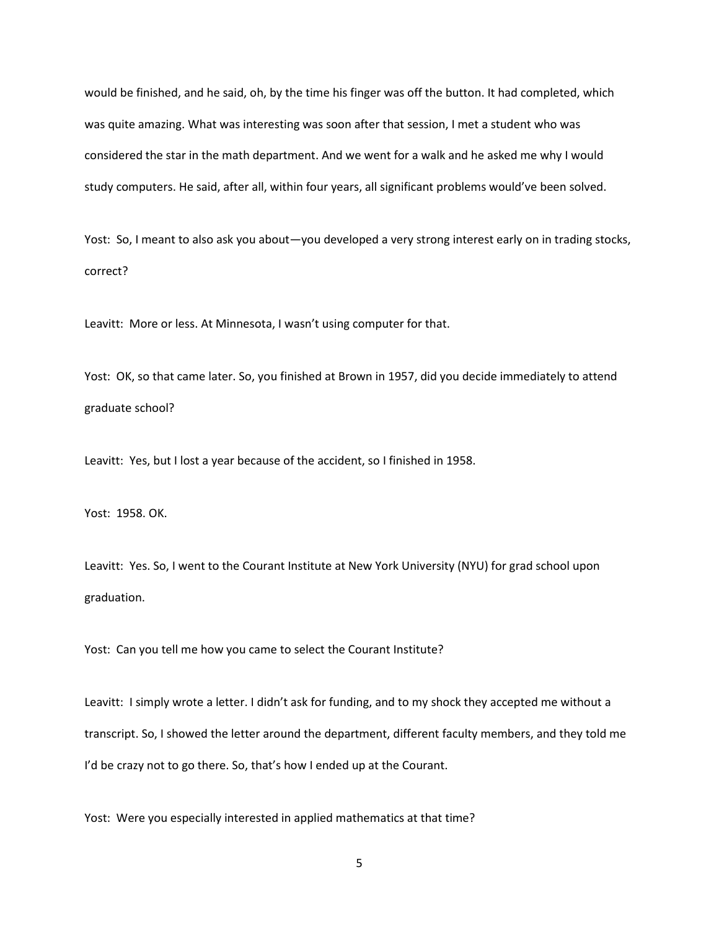would be finished, and he said, oh, by the time his finger was off the button. It had completed, which was quite amazing. What was interesting was soon after that session, I met a student who was considered the star in the math department. And we went for a walk and he asked me why I would study computers. He said, after all, within four years, all significant problems would've been solved.

Yost: So, I meant to also ask you about—you developed a very strong interest early on in trading stocks, correct?

Leavitt: More or less. At Minnesota, I wasn't using computer for that.

Yost: OK, so that came later. So, you finished at Brown in 1957, did you decide immediately to attend graduate school?

Leavitt: Yes, but I lost a year because of the accident, so I finished in 1958.

Yost: 1958. OK.

Leavitt: Yes. So, I went to the Courant Institute at New York University (NYU) for grad school upon graduation.

Yost: Can you tell me how you came to select the Courant Institute?

Leavitt: I simply wrote a letter. I didn't ask for funding, and to my shock they accepted me without a transcript. So, I showed the letter around the department, different faculty members, and they told me I'd be crazy not to go there. So, that's how I ended up at the Courant.

Yost: Were you especially interested in applied mathematics at that time?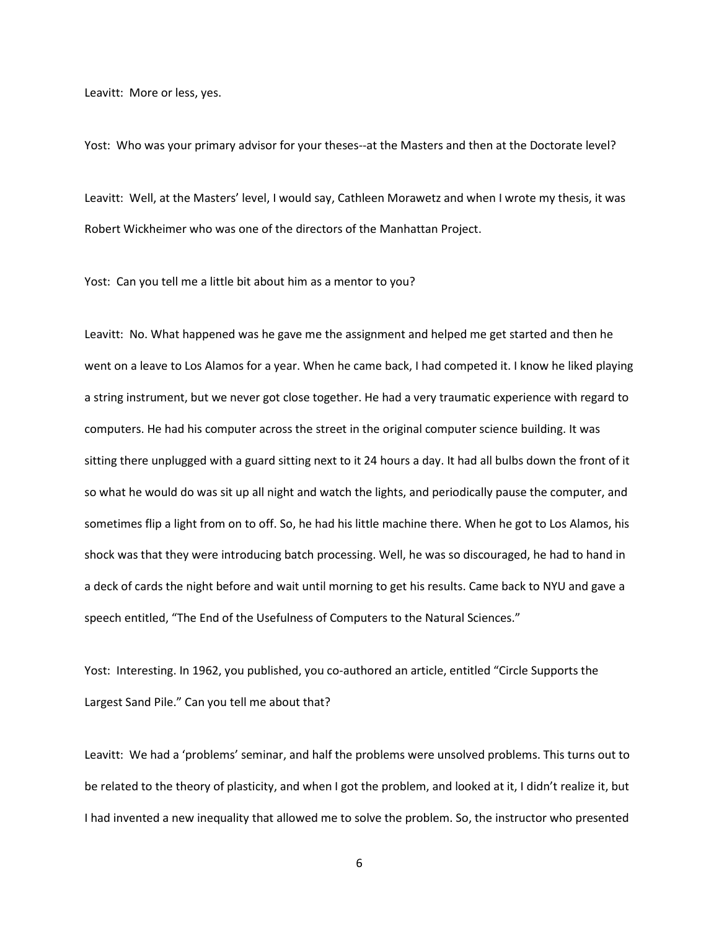Leavitt: More or less, yes.

Yost: Who was your primary advisor for your theses--at the Masters and then at the Doctorate level?

Leavitt: Well, at the Masters' level, I would say, Cathleen Morawetz and when I wrote my thesis, it was Robert Wickheimer who was one of the directors of the Manhattan Project.

Yost: Can you tell me a little bit about him as a mentor to you?

Leavitt: No. What happened was he gave me the assignment and helped me get started and then he went on a leave to Los Alamos for a year. When he came back, I had competed it. I know he liked playing a string instrument, but we never got close together. He had a very traumatic experience with regard to computers. He had his computer across the street in the original computer science building. It was sitting there unplugged with a guard sitting next to it 24 hours a day. It had all bulbs down the front of it so what he would do was sit up all night and watch the lights, and periodically pause the computer, and sometimes flip a light from on to off. So, he had his little machine there. When he got to Los Alamos, his shock was that they were introducing batch processing. Well, he was so discouraged, he had to hand in a deck of cards the night before and wait until morning to get his results. Came back to NYU and gave a speech entitled, "The End of the Usefulness of Computers to the Natural Sciences."

Yost: Interesting. In 1962, you published, you co-authored an article, entitled "Circle Supports the Largest Sand Pile." Can you tell me about that?

Leavitt: We had a 'problems' seminar, and half the problems were unsolved problems. This turns out to be related to the theory of plasticity, and when I got the problem, and looked at it, I didn't realize it, but I had invented a new inequality that allowed me to solve the problem. So, the instructor who presented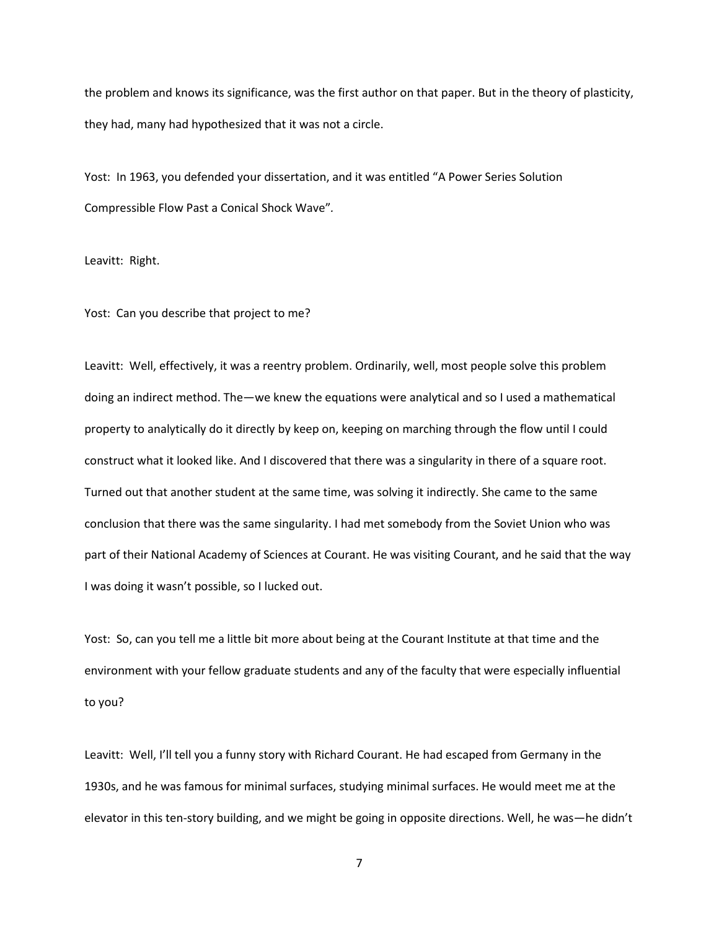the problem and knows its significance, was the first author on that paper. But in the theory of plasticity, they had, many had hypothesized that it was not a circle.

Yost: In 1963, you defended your dissertation, and it was entitled "A Power Series Solution Compressible Flow Past a Conical Shock Wave"*.*

Leavitt: Right.

Yost: Can you describe that project to me?

Leavitt: Well, effectively, it was a reentry problem. Ordinarily, well, most people solve this problem doing an indirect method. The—we knew the equations were analytical and so I used a mathematical property to analytically do it directly by keep on, keeping on marching through the flow until I could construct what it looked like. And I discovered that there was a singularity in there of a square root. Turned out that another student at the same time, was solving it indirectly. She came to the same conclusion that there was the same singularity. I had met somebody from the Soviet Union who was part of their National Academy of Sciences at Courant. He was visiting Courant, and he said that the way I was doing it wasn't possible, so I lucked out.

Yost: So, can you tell me a little bit more about being at the Courant Institute at that time and the environment with your fellow graduate students and any of the faculty that were especially influential to you?

Leavitt: Well, I'll tell you a funny story with Richard Courant. He had escaped from Germany in the 1930s, and he was famous for minimal surfaces, studying minimal surfaces. He would meet me at the elevator in this ten-story building, and we might be going in opposite directions. Well, he was—he didn't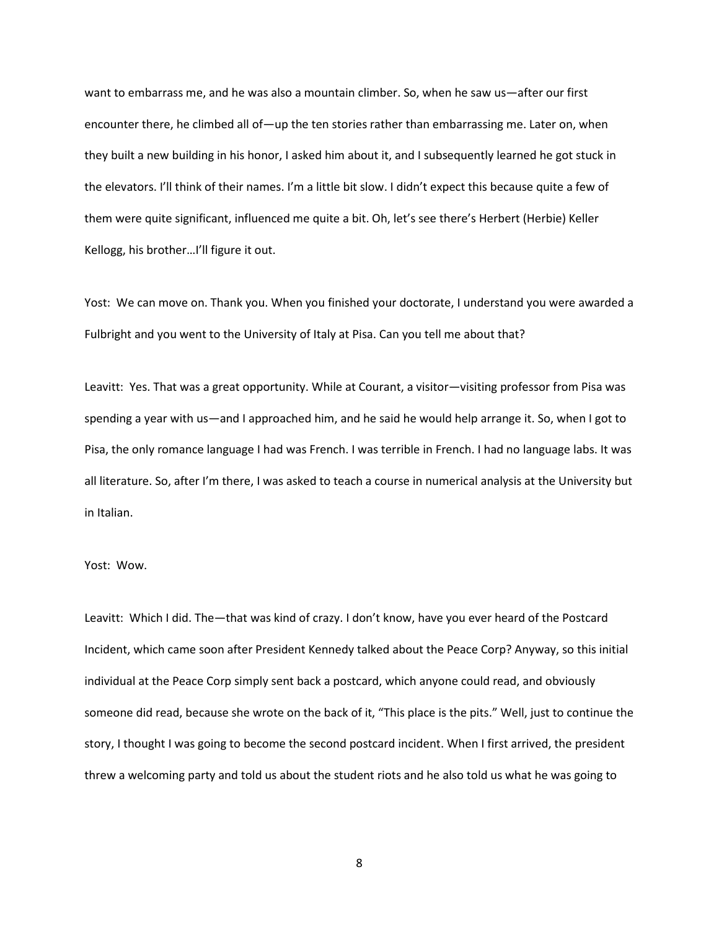want to embarrass me, and he was also a mountain climber. So, when he saw us—after our first encounter there, he climbed all of—up the ten stories rather than embarrassing me. Later on, when they built a new building in his honor, I asked him about it, and I subsequently learned he got stuck in the elevators. I'll think of their names. I'm a little bit slow. I didn't expect this because quite a few of them were quite significant, influenced me quite a bit. Oh, let's see there's Herbert (Herbie) Keller Kellogg, his brother…I'll figure it out.

Yost: We can move on. Thank you. When you finished your doctorate, I understand you were awarded a Fulbright and you went to the University of Italy at Pisa. Can you tell me about that?

Leavitt: Yes. That was a great opportunity. While at Courant, a visitor—visiting professor from Pisa was spending a year with us—and I approached him, and he said he would help arrange it. So, when I got to Pisa, the only romance language I had was French. I was terrible in French. I had no language labs. It was all literature. So, after I'm there, I was asked to teach a course in numerical analysis at the University but in Italian.

## Yost: Wow.

Leavitt: Which I did. The—that was kind of crazy. I don't know, have you ever heard of the Postcard Incident, which came soon after President Kennedy talked about the Peace Corp? Anyway, so this initial individual at the Peace Corp simply sent back a postcard, which anyone could read, and obviously someone did read, because she wrote on the back of it, "This place is the pits." Well, just to continue the story, I thought I was going to become the second postcard incident. When I first arrived, the president threw a welcoming party and told us about the student riots and he also told us what he was going to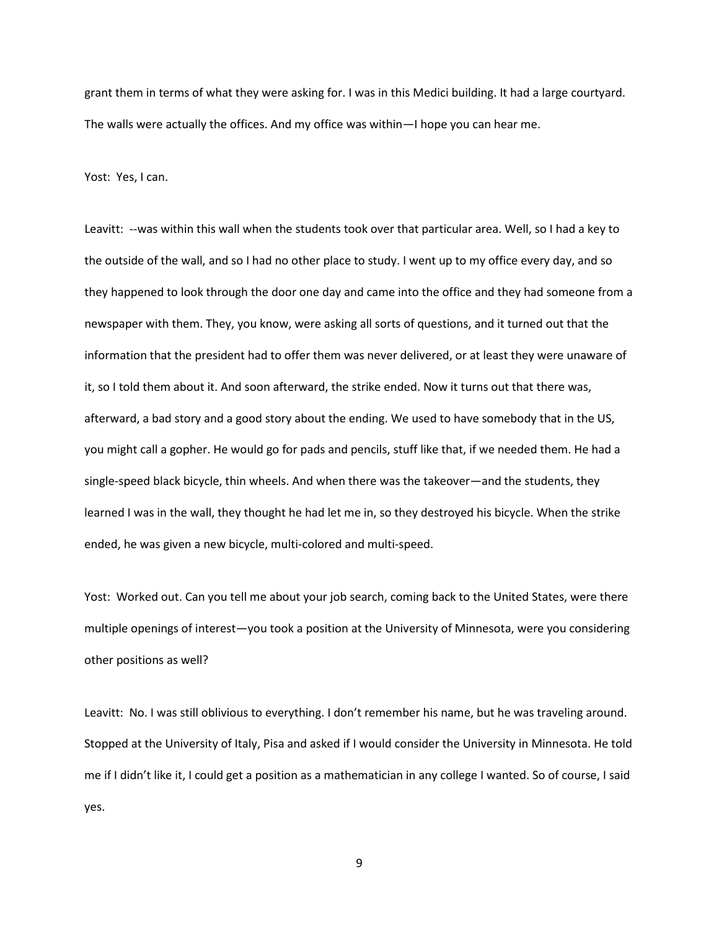grant them in terms of what they were asking for. I was in this Medici building. It had a large courtyard. The walls were actually the offices. And my office was within—I hope you can hear me.

Yost: Yes, I can.

Leavitt: --was within this wall when the students took over that particular area. Well, so I had a key to the outside of the wall, and so I had no other place to study. I went up to my office every day, and so they happened to look through the door one day and came into the office and they had someone from a newspaper with them. They, you know, were asking all sorts of questions, and it turned out that the information that the president had to offer them was never delivered, or at least they were unaware of it, so I told them about it. And soon afterward, the strike ended. Now it turns out that there was, afterward, a bad story and a good story about the ending. We used to have somebody that in the US, you might call a gopher. He would go for pads and pencils, stuff like that, if we needed them. He had a single-speed black bicycle, thin wheels. And when there was the takeover—and the students, they learned I was in the wall, they thought he had let me in, so they destroyed his bicycle. When the strike ended, he was given a new bicycle, multi-colored and multi-speed.

Yost: Worked out. Can you tell me about your job search, coming back to the United States, were there multiple openings of interest—you took a position at the University of Minnesota, were you considering other positions as well?

Leavitt: No. I was still oblivious to everything. I don't remember his name, but he was traveling around. Stopped at the University of Italy, Pisa and asked if I would consider the University in Minnesota. He told me if I didn't like it, I could get a position as a mathematician in any college I wanted. So of course, I said yes.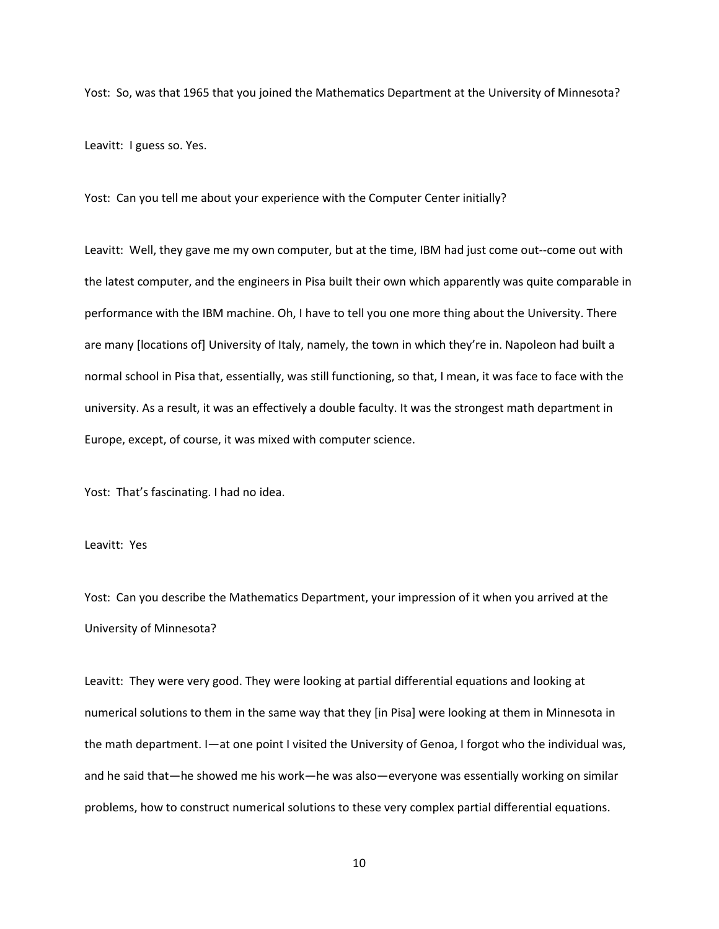Yost: So, was that 1965 that you joined the Mathematics Department at the University of Minnesota?

Leavitt: I guess so. Yes.

Yost: Can you tell me about your experience with the Computer Center initially?

Leavitt: Well, they gave me my own computer, but at the time, IBM had just come out--come out with the latest computer, and the engineers in Pisa built their own which apparently was quite comparable in performance with the IBM machine. Oh, I have to tell you one more thing about the University. There are many [locations of] University of Italy, namely, the town in which they're in. Napoleon had built a normal school in Pisa that, essentially, was still functioning, so that, I mean, it was face to face with the university. As a result, it was an effectively a double faculty. It was the strongest math department in Europe, except, of course, it was mixed with computer science.

Yost: That's fascinating. I had no idea.

Leavitt: Yes

Yost: Can you describe the Mathematics Department, your impression of it when you arrived at the University of Minnesota?

Leavitt: They were very good. They were looking at partial differential equations and looking at numerical solutions to them in the same way that they [in Pisa] were looking at them in Minnesota in the math department. I—at one point I visited the University of Genoa, I forgot who the individual was, and he said that—he showed me his work—he was also—everyone was essentially working on similar problems, how to construct numerical solutions to these very complex partial differential equations.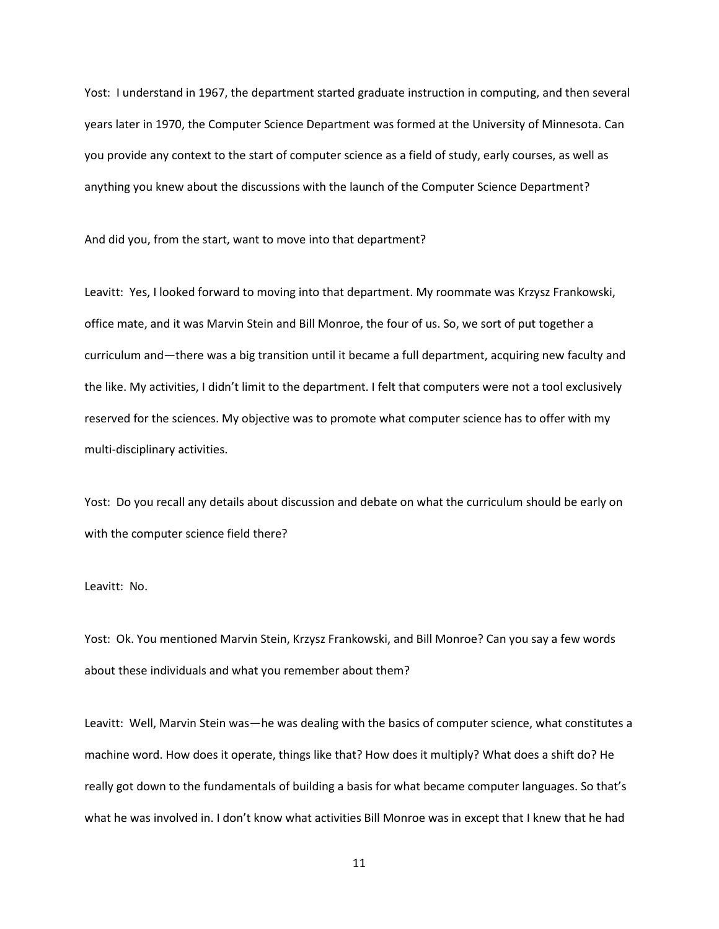Yost: I understand in 1967, the department started graduate instruction in computing, and then several years later in 1970, the Computer Science Department was formed at the University of Minnesota. Can you provide any context to the start of computer science as a field of study, early courses, as well as anything you knew about the discussions with the launch of the Computer Science Department?

And did you, from the start, want to move into that department?

Leavitt: Yes, I looked forward to moving into that department. My roommate was Krzysz Frankowski, office mate, and it was Marvin Stein and Bill Monroe, the four of us. So, we sort of put together a curriculum and—there was a big transition until it became a full department, acquiring new faculty and the like. My activities, I didn't limit to the department. I felt that computers were not a tool exclusively reserved for the sciences. My objective was to promote what computer science has to offer with my multi-disciplinary activities.

Yost: Do you recall any details about discussion and debate on what the curriculum should be early on with the computer science field there?

Leavitt: No.

Yost: Ok. You mentioned Marvin Stein, Krzysz Frankowski, and Bill Monroe? Can you say a few words about these individuals and what you remember about them?

Leavitt: Well, Marvin Stein was—he was dealing with the basics of computer science, what constitutes a machine word. How does it operate, things like that? How does it multiply? What does a shift do? He really got down to the fundamentals of building a basis for what became computer languages. So that's what he was involved in. I don't know what activities Bill Monroe was in except that I knew that he had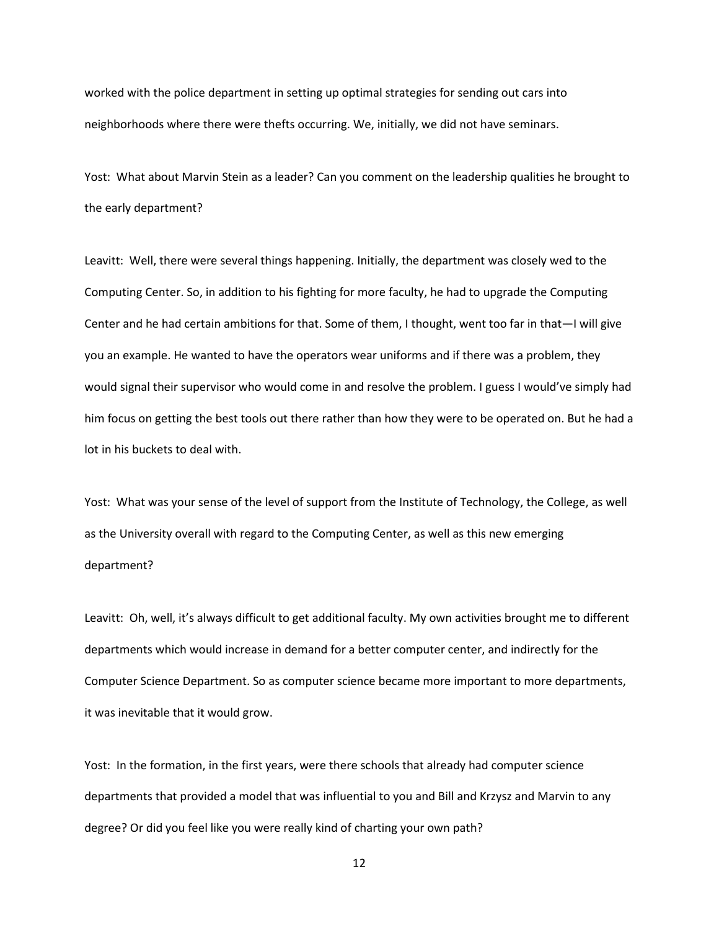worked with the police department in setting up optimal strategies for sending out cars into neighborhoods where there were thefts occurring. We, initially, we did not have seminars.

Yost: What about Marvin Stein as a leader? Can you comment on the leadership qualities he brought to the early department?

Leavitt: Well, there were several things happening. Initially, the department was closely wed to the Computing Center. So, in addition to his fighting for more faculty, he had to upgrade the Computing Center and he had certain ambitions for that. Some of them, I thought, went too far in that—I will give you an example. He wanted to have the operators wear uniforms and if there was a problem, they would signal their supervisor who would come in and resolve the problem. I guess I would've simply had him focus on getting the best tools out there rather than how they were to be operated on. But he had a lot in his buckets to deal with.

Yost: What was your sense of the level of support from the Institute of Technology, the College, as well as the University overall with regard to the Computing Center, as well as this new emerging department?

Leavitt: Oh, well, it's always difficult to get additional faculty. My own activities brought me to different departments which would increase in demand for a better computer center, and indirectly for the Computer Science Department. So as computer science became more important to more departments, it was inevitable that it would grow.

Yost: In the formation, in the first years, were there schools that already had computer science departments that provided a model that was influential to you and Bill and Krzysz and Marvin to any degree? Or did you feel like you were really kind of charting your own path?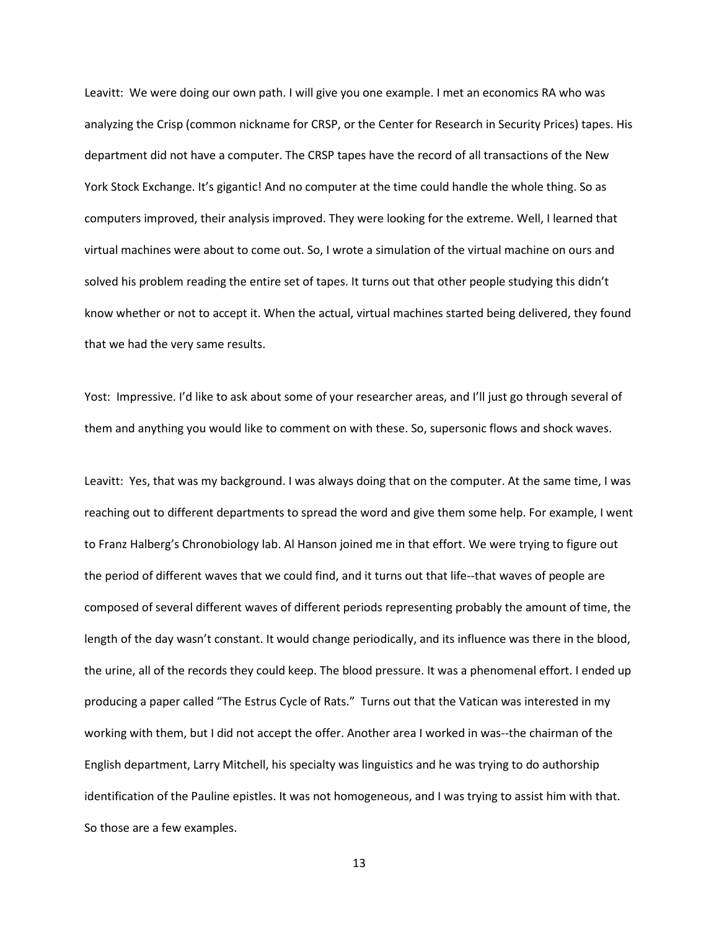Leavitt: We were doing our own path. I will give you one example. I met an economics RA who was analyzing the Crisp (common nickname for CRSP, or the Center for Research in Security Prices) tapes. His department did not have a computer. The CRSP tapes have the record of all transactions of the New York Stock Exchange. It's gigantic! And no computer at the time could handle the whole thing. So as computers improved, their analysis improved. They were looking for the extreme. Well, I learned that virtual machines were about to come out. So, I wrote a simulation of the virtual machine on ours and solved his problem reading the entire set of tapes. It turns out that other people studying this didn't know whether or not to accept it. When the actual, virtual machines started being delivered, they found that we had the very same results.

Yost: Impressive. I'd like to ask about some of your researcher areas, and I'll just go through several of them and anything you would like to comment on with these. So, supersonic flows and shock waves.

Leavitt: Yes, that was my background. I was always doing that on the computer. At the same time, I was reaching out to different departments to spread the word and give them some help. For example, I went to Franz Halberg's Chronobiology lab. Al Hanson joined me in that effort. We were trying to figure out the period of different waves that we could find, and it turns out that life--that waves of people are composed of several different waves of different periods representing probably the amount of time, the length of the day wasn't constant. It would change periodically, and its influence was there in the blood, the urine, all of the records they could keep. The blood pressure. It was a phenomenal effort. I ended up producing a paper called "The Estrus Cycle of Rats." Turns out that the Vatican was interested in my working with them, but I did not accept the offer. Another area I worked in was--the chairman of the English department, Larry Mitchell, his specialty was linguistics and he was trying to do authorship identification of the Pauline epistles. It was not homogeneous, and I was trying to assist him with that. So those are a few examples.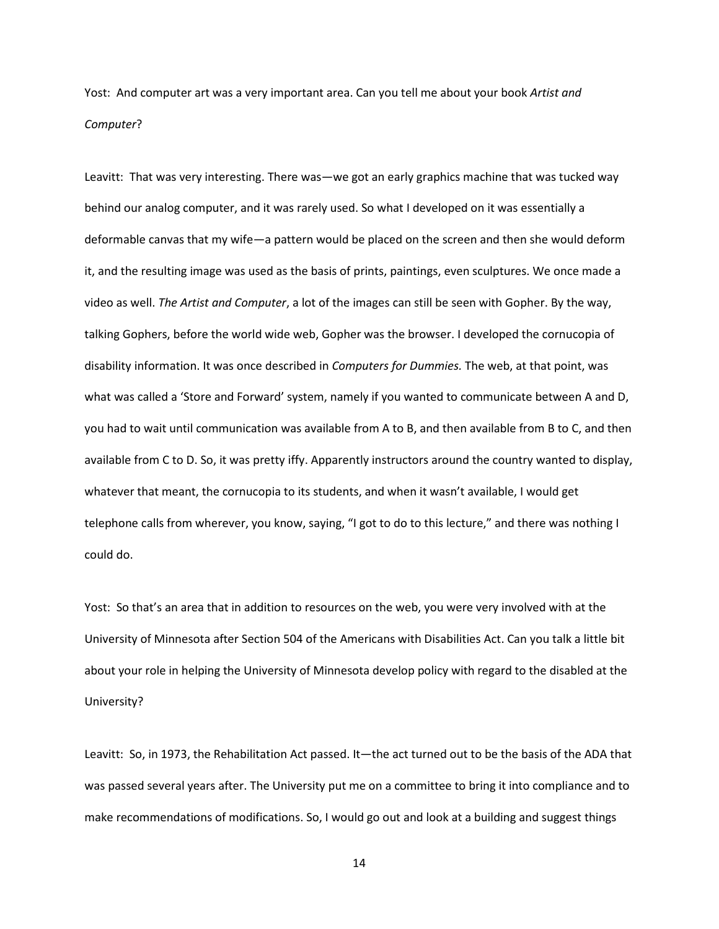Yost: And computer art was a very important area. Can you tell me about your book *Artist and Computer*?

Leavitt: That was very interesting. There was—we got an early graphics machine that was tucked way behind our analog computer, and it was rarely used. So what I developed on it was essentially a deformable canvas that my wife—a pattern would be placed on the screen and then she would deform it, and the resulting image was used as the basis of prints, paintings, even sculptures. We once made a video as well. *The Artist and Computer*, a lot of the images can still be seen with Gopher. By the way, talking Gophers, before the world wide web, Gopher was the browser. I developed the cornucopia of disability information. It was once described in *Computers for Dummies.* The web, at that point, was what was called a 'Store and Forward' system, namely if you wanted to communicate between A and D, you had to wait until communication was available from A to B, and then available from B to C, and then available from C to D. So, it was pretty iffy. Apparently instructors around the country wanted to display, whatever that meant, the cornucopia to its students, and when it wasn't available, I would get telephone calls from wherever, you know, saying, "I got to do to this lecture," and there was nothing I could do.

Yost: So that's an area that in addition to resources on the web, you were very involved with at the University of Minnesota after Section 504 of the Americans with Disabilities Act. Can you talk a little bit about your role in helping the University of Minnesota develop policy with regard to the disabled at the University?

Leavitt: So, in 1973, the Rehabilitation Act passed. It—the act turned out to be the basis of the ADA that was passed several years after. The University put me on a committee to bring it into compliance and to make recommendations of modifications. So, I would go out and look at a building and suggest things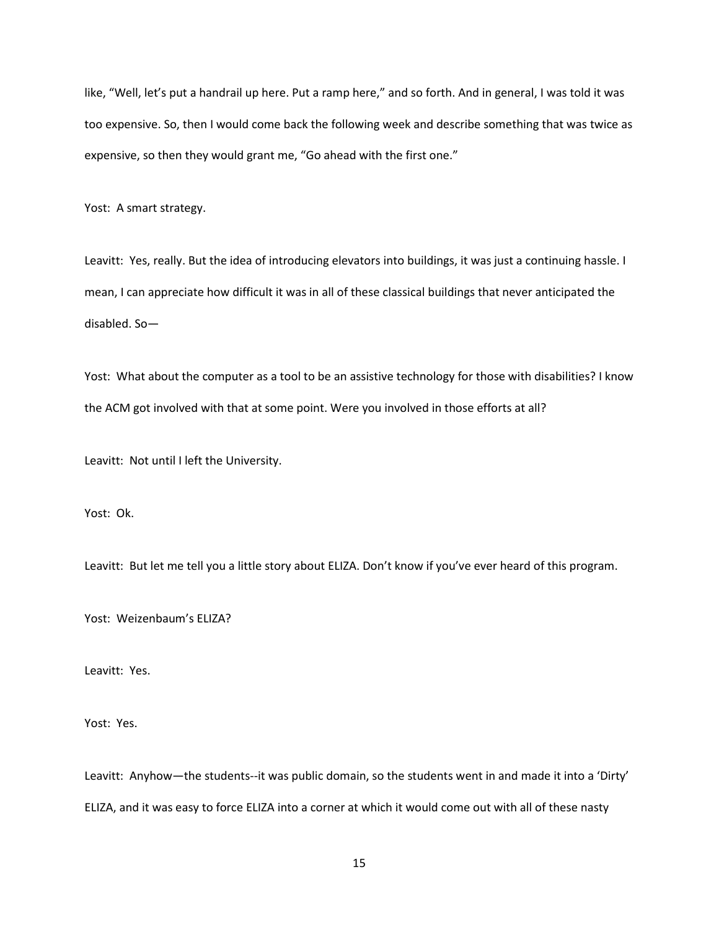like, "Well, let's put a handrail up here. Put a ramp here," and so forth. And in general, I was told it was too expensive. So, then I would come back the following week and describe something that was twice as expensive, so then they would grant me, "Go ahead with the first one."

Yost: A smart strategy.

Leavitt: Yes, really. But the idea of introducing elevators into buildings, it was just a continuing hassle. I mean, I can appreciate how difficult it was in all of these classical buildings that never anticipated the disabled. So—

Yost: What about the computer as a tool to be an assistive technology for those with disabilities? I know the ACM got involved with that at some point. Were you involved in those efforts at all?

Leavitt: Not until I left the University.

Yost: Ok.

Leavitt: But let me tell you a little story about ELIZA. Don't know if you've ever heard of this program.

Yost: Weizenbaum's ELIZA?

Leavitt: Yes.

Yost: Yes.

Leavitt: Anyhow—the students--it was public domain, so the students went in and made it into a 'Dirty' ELIZA, and it was easy to force ELIZA into a corner at which it would come out with all of these nasty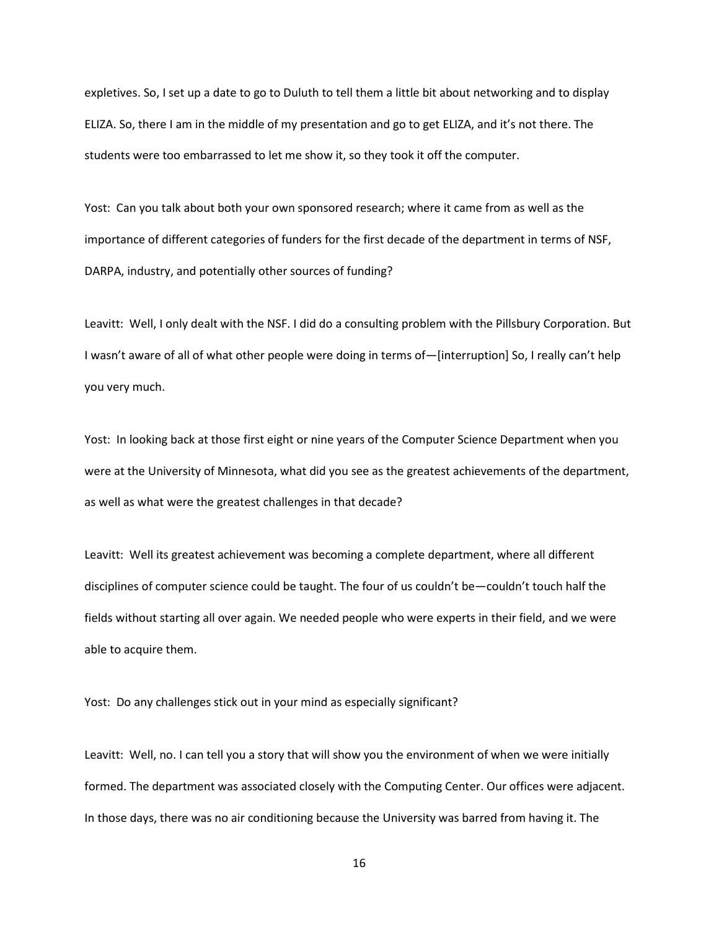expletives. So, I set up a date to go to Duluth to tell them a little bit about networking and to display ELIZA. So, there I am in the middle of my presentation and go to get ELIZA, and it's not there. The students were too embarrassed to let me show it, so they took it off the computer.

Yost: Can you talk about both your own sponsored research; where it came from as well as the importance of different categories of funders for the first decade of the department in terms of NSF, DARPA, industry, and potentially other sources of funding?

Leavitt: Well, I only dealt with the NSF. I did do a consulting problem with the Pillsbury Corporation. But I wasn't aware of all of what other people were doing in terms of—[interruption] So, I really can't help you very much.

Yost: In looking back at those first eight or nine years of the Computer Science Department when you were at the University of Minnesota, what did you see as the greatest achievements of the department, as well as what were the greatest challenges in that decade?

Leavitt: Well its greatest achievement was becoming a complete department, where all different disciplines of computer science could be taught. The four of us couldn't be—couldn't touch half the fields without starting all over again. We needed people who were experts in their field, and we were able to acquire them.

Yost: Do any challenges stick out in your mind as especially significant?

Leavitt: Well, no. I can tell you a story that will show you the environment of when we were initially formed. The department was associated closely with the Computing Center. Our offices were adjacent. In those days, there was no air conditioning because the University was barred from having it. The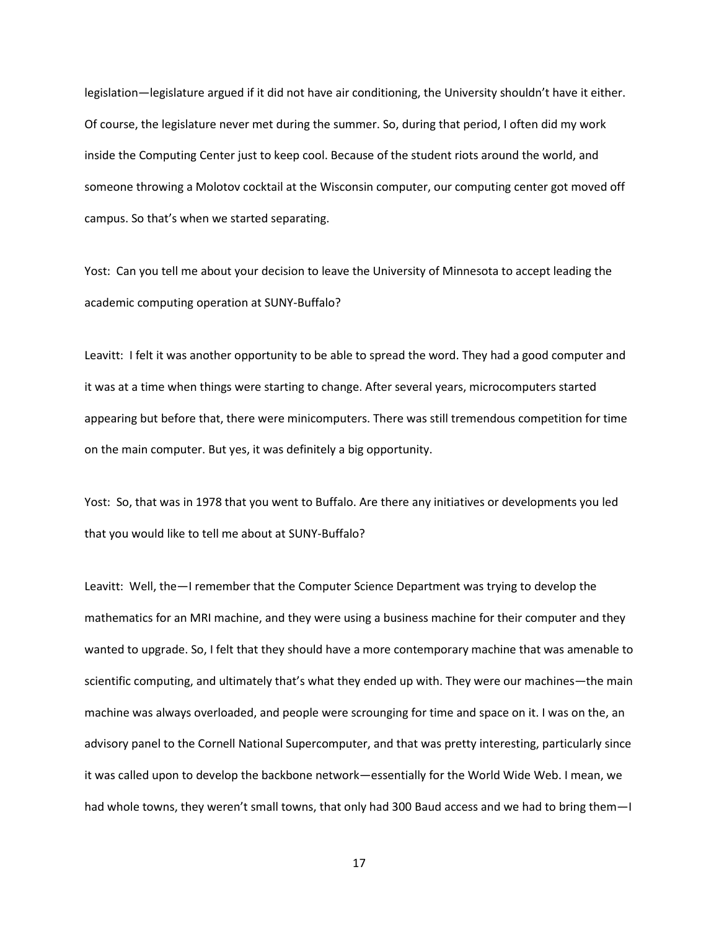legislation—legislature argued if it did not have air conditioning, the University shouldn't have it either. Of course, the legislature never met during the summer. So, during that period, I often did my work inside the Computing Center just to keep cool. Because of the student riots around the world, and someone throwing a Molotov cocktail at the Wisconsin computer, our computing center got moved off campus. So that's when we started separating.

Yost: Can you tell me about your decision to leave the University of Minnesota to accept leading the academic computing operation at SUNY-Buffalo?

Leavitt: I felt it was another opportunity to be able to spread the word. They had a good computer and it was at a time when things were starting to change. After several years, microcomputers started appearing but before that, there were minicomputers. There was still tremendous competition for time on the main computer. But yes, it was definitely a big opportunity.

Yost: So, that was in 1978 that you went to Buffalo. Are there any initiatives or developments you led that you would like to tell me about at SUNY-Buffalo?

Leavitt: Well, the—I remember that the Computer Science Department was trying to develop the mathematics for an MRI machine, and they were using a business machine for their computer and they wanted to upgrade. So, I felt that they should have a more contemporary machine that was amenable to scientific computing, and ultimately that's what they ended up with. They were our machines—the main machine was always overloaded, and people were scrounging for time and space on it. I was on the, an advisory panel to the Cornell National Supercomputer, and that was pretty interesting, particularly since it was called upon to develop the backbone network—essentially for the World Wide Web. I mean, we had whole towns, they weren't small towns, that only had 300 Baud access and we had to bring them-I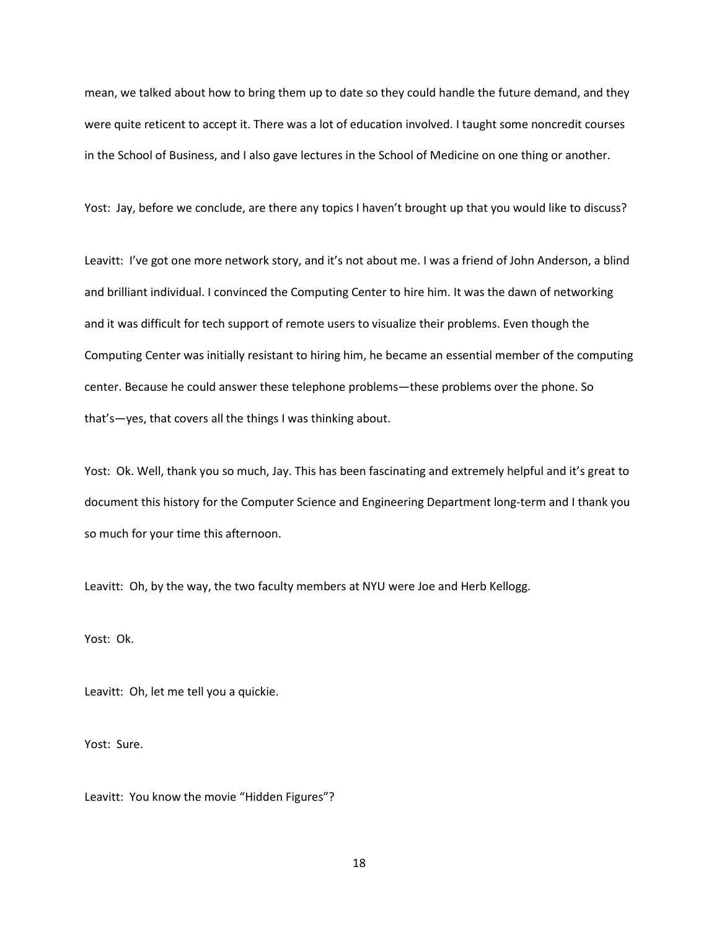mean, we talked about how to bring them up to date so they could handle the future demand, and they were quite reticent to accept it. There was a lot of education involved. I taught some noncredit courses in the School of Business, and I also gave lectures in the School of Medicine on one thing or another.

Yost: Jay, before we conclude, are there any topics I haven't brought up that you would like to discuss?

Leavitt: I've got one more network story, and it's not about me. I was a friend of John Anderson, a blind and brilliant individual. I convinced the Computing Center to hire him. It was the dawn of networking and it was difficult for tech support of remote users to visualize their problems. Even though the Computing Center was initially resistant to hiring him, he became an essential member of the computing center. Because he could answer these telephone problems—these problems over the phone. So that's—yes, that covers all the things I was thinking about.

Yost: Ok. Well, thank you so much, Jay. This has been fascinating and extremely helpful and it's great to document this history for the Computer Science and Engineering Department long-term and I thank you so much for your time this afternoon.

Leavitt: Oh, by the way, the two faculty members at NYU were Joe and Herb Kellogg.

Yost: Ok.

Leavitt: Oh, let me tell you a quickie.

Yost: Sure.

Leavitt: You know the movie "Hidden Figures"?